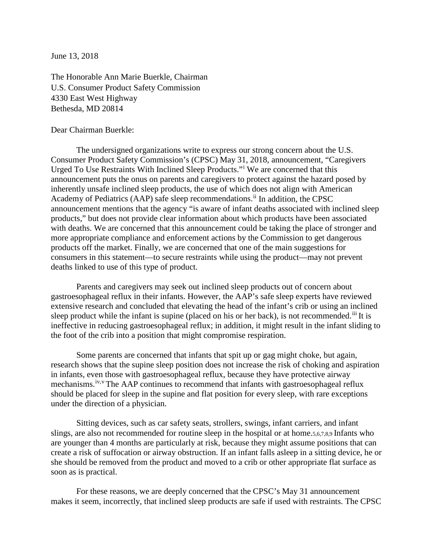June 13, 2018

The Honorable Ann Marie Buerkle, Chairman U.S. Consumer Product Safety Commission 4330 East West Highway Bethesda, MD 20814

Dear Chairman Buerkle:

The undersigned organizations write to express our strong concern about the U.S. Consumer Product Safety Commission's (CPSC) May 31, 2018, announcement, "Caregivers Urged To Use Restraints With Inclined Sleep Products."[i](#page-2-0) We are concerned that this announcement puts the onus on parents and caregivers to protect against the hazard posed by inherently unsafe inclined sleep products, the use of which does not align with American Academy of Pediatrics (AAP) safe sleep recommendations.[ii](#page-2-1) In addition, the CPSC announcement mentions that the agency "is aware of infant deaths associated with inclined sleep products," but does not provide clear information about which products have been associated with deaths. We are concerned that this announcement could be taking the place of stronger and more appropriate compliance and enforcement actions by the Commission to get dangerous products off the market. Finally, we are concerned that one of the main suggestions for consumers in this statement—to secure restraints while using the product—may not prevent deaths linked to use of this type of product.

Parents and caregivers may seek out inclined sleep products out of concern about gastroesophageal reflux in their infants. However, the AAP's safe sleep experts have reviewed extensive research and concluded that elevating the head of the infant's crib or using an inclined sleep product while the infant is supine (placed on his or her back), is not recommended.<sup>[iii](#page-2-2)</sup> It is ineffective in reducing gastroesophageal reflux; in addition, it might result in the infant sliding to the foot of the crib into a position that might compromise respiration.

Some parents are concerned that infants that spit up or gag might choke, but again, research shows that the supine sleep position does not increase the risk of choking and aspiration in infants, even those with gastroesophageal reflux, because they have protective airway mechanisms.<sup>[iv](#page-2-3),[v](#page-2-4)</sup> The AAP continues to recommend that infants with gastroesophageal reflux should be placed for sleep in the supine and flat position for every sleep, with rare exceptions under the direction of a physician.

Sitting devices, such as car safety seats, strollers, swings, infant carriers, and infant slings, are also not recommended for routine sleep in the hospital or at home.5,6,7,8,9 Infants who are younger than 4 months are particularly at risk, because they might assume positions that can create a risk of suffocation or airway obstruction. If an infant falls asleep in a sitting device, he or she should be removed from the product and moved to a crib or other appropriate flat surface as soon as is practical.

For these reasons, we are deeply concerned that the CPSC's May 31 announcement makes it seem, incorrectly, that inclined sleep products are safe if used with restraints. The CPSC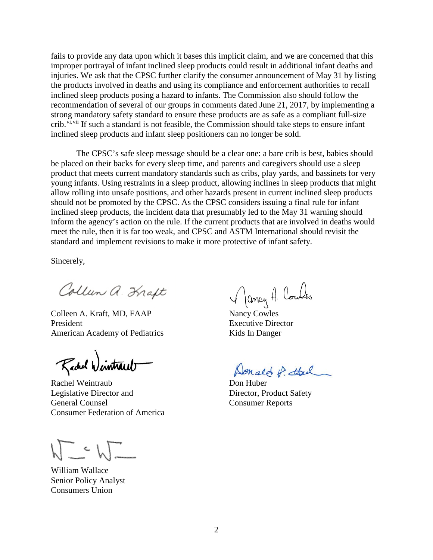fails to provide any data upon which it bases this implicit claim, and we are concerned that this improper portrayal of infant inclined sleep products could result in additional infant deaths and injuries. We ask that the CPSC further clarify the consumer announcement of May 31 by listing the products involved in deaths and using its compliance and enforcement authorities to recall inclined sleep products posing a hazard to infants. The Commission also should follow the recommendation of several of our groups in comments dated June 21, 2017, by implementing a strong mandatory safety standard to ensure these products are as safe as a compliant full-size crib.  $v_i$ ,  $v_i$  if such a standard is not feasible, the Commission should take steps to ensure infant inclined sleep products and infant sleep positioners can no longer be sold.

The CPSC's safe sleep message should be a clear one: a bare crib is best, babies should be placed on their backs for every sleep time, and parents and caregivers should use a sleep product that meets current mandatory standards such as cribs, play yards, and bassinets for very young infants. Using restraints in a sleep product, allowing inclines in sleep products that might allow rolling into unsafe positions, and other hazards present in current inclined sleep products should not be promoted by the CPSC. As the CPSC considers issuing a final rule for infant inclined sleep products, the incident data that presumably led to the May 31 warning should inform the agency's action on the rule. If the current products that are involved in deaths would meet the rule, then it is far too weak, and CPSC and ASTM International should revisit the standard and implement revisions to make it more protective of infant safety.

Sincerely,

Collun a. Kraft

Colleen A. Kraft, MD, FAAP Nancy Cowles President Executive Director American Academy of Pediatrics Kids In Danger

Rachel Wintraub

Rachel Weintraub Don Huber Legislative Director and Director, Product Safety General Counsel Consumer Reports Consumer Federation of America

 $\sim$ 

William Wallace Senior Policy Analyst Consumers Union

Jancy A. Coules

Donald of the